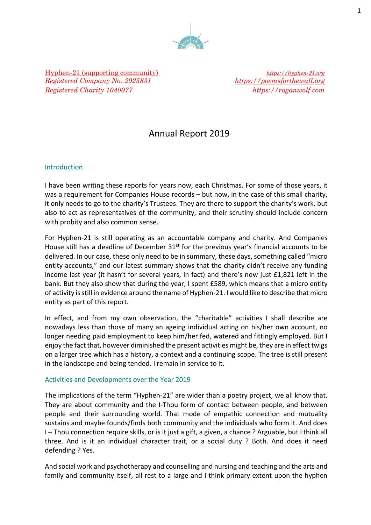

Hyphen-21 (supporting community)*[https://hyphen-21.org](https://hyphen-21.org/) Registered Company No. 2925831 [https://poemsforthewall.org](https://poemsforthewall.org/) Registered Charity 1040077 https://roganwolf.com* 

## Annual Report 2019

#### Introduction

I have been writing these reports for years now, each Christmas. For some of those years, it was a requirement for Companies House records – but now, in the case of this small charity, it only needs to go to the charity's Trustees. They are there to support the charity's work, but also to act as representatives of the community, and their scrutiny should include concern with probity and also common sense.

For Hyphen-21 is still operating as an accountable company and charity. And Companies House still has a deadline of December  $31<sup>st</sup>$  for the previous year's financial accounts to be delivered. In our case, these only need to be in summary, these days, something called "micro entity accounts," and our latest summary shows that the charity didn't receive any funding income last year (it hasn't for several years, in fact) and there's now just £1,821 left in the bank. But they also show that during the year, I spent £589, which means that a micro entity of activity is still in evidence around the name of Hyphen-21. I would like to describe that micro entity as part of this report.

In effect, and from my own observation, the "charitable" activities I shall describe are nowadays less than those of many an ageing individual acting on his/her own account, no longer needing paid employment to keep him/her fed, watered and fittingly employed. But I enjoy the fact that, however diminished the present activities might be, they are in effect twigs on a larger tree which has a history, a context and a continuing scope. The tree is still present in the landscape and being tended. I remain in service to it.

#### Activities and Developments over the Year 2019

The implications of the term "Hyphen-21" are wider than a poetry project, we all know that. They are about community and the I-Thou form of contact between people, and between people and their surrounding world. That mode of empathic connection and mutuality sustains and maybe founds/finds both community and the individuals who form it. And does I – Thou connection require skills, or is it just a gift, a given, a chance ? Arguable, but I think all three. And is it an individual character trait, or a social duty ? Both. And does it need defending ? Yes.

And social work and psychotherapy and counselling and nursing and teaching and the arts and family and community itself, all rest to a large and I think primary extent upon the hyphen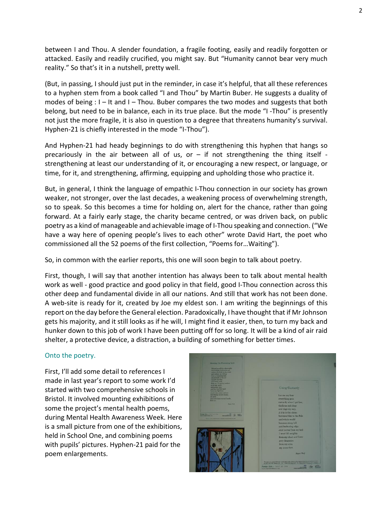between I and Thou. A slender foundation, a fragile footing, easily and readily forgotten or attacked. Easily and readily crucified, you might say. But "Humanity cannot bear very much reality." So that's it in a nutshell, pretty well.

(But, in passing, I should just put in the reminder, in case it's helpful, that all these references to a hyphen stem from a book called "I and Thou" by Martin Buber. He suggests a duality of modes of being : I – It and I – Thou. Buber compares the two modes and suggests that both belong, but need to be in balance, each in its true place. But the mode "I -Thou" is presently not just the more fragile, it is also in question to a degree that threatens humanity's survival. Hyphen-21 is chiefly interested in the mode "I-Thou").

And Hyphen-21 had heady beginnings to do with strengthening this hyphen that hangs so precariously in the air between all of us, or  $-$  if not strengthening the thing itself strengthening at least our understanding of it, or encouraging a new respect, or language, or time, for it, and strengthening, affirming, equipping and upholding those who practice it.

But, in general, I think the language of empathic I-Thou connection in our society has grown weaker, not stronger, over the last decades, a weakening process of overwhelming strength, so to speak. So this becomes a time for holding on, alert for the chance, rather than going forward. At a fairly early stage, the charity became centred, or was driven back, on public poetry as a kind of manageable and achievable image of I-Thou speaking and connection. ("We have a way here of opening people's lives to each other" wrote David Hart, the poet who commissioned all the 52 poems of the first collection, "Poems for…Waiting").

So, in common with the earlier reports, this one will soon begin to talk about poetry.

First, though, I will say that another intention has always been to talk about mental health work as well - good practice and good policy in that field, good I-Thou connection across this other deep and fundamental divide in all our nations. And still that work has not been done. A web-site is ready for it, created by Joe my eldest son. I am writing the beginnings of this report on the day before the General election. Paradoxically, I have thought that if Mr Johnson gets his majority, and it still looks as if he will, I might find it easier, then, to turn my back and hunker down to this job of work I have been putting off for so long. It will be a kind of air raid shelter, a protective device, a distraction, a building of something for better times.

#### Onto the poetry.

First, I'll add some detail to references I made in last year's report to some work I'd started with two comprehensive schools in Bristol. It involved mounting exhibitions of some the project's mental health poems, during Mental Health Awareness Week. Here is a small picture from one of the exhibitions, held in School One, and combining poems with pupils' pictures. Hyphen-21 paid for the poem enlargements.

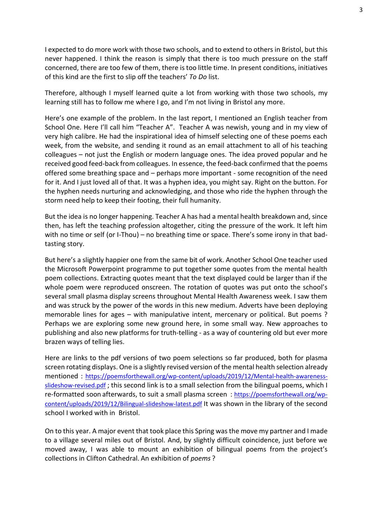I expected to do more work with those two schools, and to extend to others in Bristol, but this never happened. I think the reason is simply that there is too much pressure on the staff concerned, there are too few of them, there is too little time. In present conditions, initiatives of this kind are the first to slip off the teachers' *To Do* list.

Therefore, although I myself learned quite a lot from working with those two schools, my learning still has to follow me where I go, and I'm not living in Bristol any more.

Here's one example of the problem. In the last report, I mentioned an English teacher from School One. Here I'll call him "Teacher A". Teacher A was newish, young and in my view of very high calibre. He had the inspirational idea of himself selecting one of these poems each week, from the website, and sending it round as an email attachment to all of his teaching colleagues – not just the English or modern language ones. The idea proved popular and he received good feed-back from colleagues. In essence, the feed-back confirmed that the poems offered some breathing space and – perhaps more important - some recognition of the need for it. And I just loved all of that. It was a hyphen idea, you might say. Right on the button. For the hyphen needs nurturing and acknowledging, and those who ride the hyphen through the storm need help to keep their footing, their full humanity.

But the idea is no longer happening. Teacher A has had a mental health breakdown and, since then, has left the teaching profession altogether, citing the pressure of the work. It left him with no time or self (or I-Thou) – no breathing time or space. There's some irony in that badtasting story.

But here's a slightly happier one from the same bit of work. Another School One teacher used the Microsoft Powerpoint programme to put together some quotes from the mental health poem collections. Extracting quotes meant that the text displayed could be larger than if the whole poem were reproduced onscreen. The rotation of quotes was put onto the school's several small plasma display screens throughout Mental Health Awareness week. I saw them and was struck by the power of the words in this new medium. Adverts have been deploying memorable lines for ages – with manipulative intent, mercenary or political. But poems ? Perhaps we are exploring some new ground here, in some small way. New approaches to publishing and also new platforms for truth-telling - as a way of countering old but ever more brazen ways of telling lies.

Here are links to the pdf versions of two poem selections so far produced, both for plasma screen rotating displays. One is a slightly revised version of the mental health selection already mentioned : [https://poemsforthewall.org/wp-content/uploads/2019/12/Mental-health-awareness](https://poemsforthewall.org/wp-content/uploads/2019/12/Mental-health-awareness-slideshow-revised.pdf)[slideshow-revised.pdf](https://poemsforthewall.org/wp-content/uploads/2019/12/Mental-health-awareness-slideshow-revised.pdf); this second link is to a small selection from the bilingual poems, which I re-formatted soon afterwards, to suit a small plasma screen : [https://poemsforthewall.org/wp](https://poemsforthewall.org/wp-content/uploads/2019/12/Bilingual-slideshow-latest.pdf)[content/uploads/2019/12/Bilingual-slideshow-latest.pdf](https://poemsforthewall.org/wp-content/uploads/2019/12/Bilingual-slideshow-latest.pdf) It was shown in the library of the second school I worked with in Bristol.

On to this year. A major event that took place this Spring was the move my partner and I made to a village several miles out of Bristol. And, by slightly difficult coincidence, just before we moved away, I was able to mount an exhibition of bilingual poems from the project's collections in Clifton Cathedral. An exhibition of *poems* ?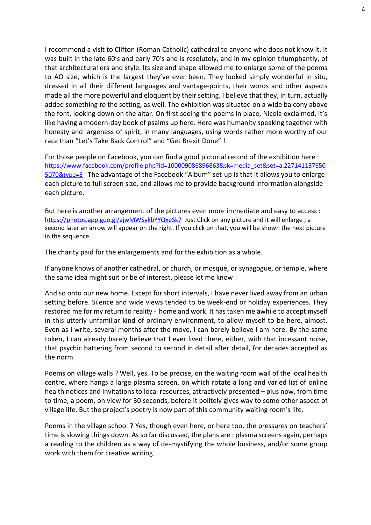I recommend a visit to Clifton (Roman Catholic) cathedral to anyone who does not know it. It was built in the late 60's and early 70's and is resolutely, and in my opinion triumphantly, of that architectural era and style. Its size and shape allowed me to enlarge some of the poems to AO size, which is the largest they've ever been. They looked simply wonderful in situ, dressed in all their different languages and vantage-points, their words and other aspects made all the more powerful and eloquent by their setting. I believe that they, in turn, actually added something *to* the setting, as well. The exhibition was situated on a wide balcony above the font, looking down on the altar. On first seeing the poems in place, Nicola exclaimed, it's like having a modern-day book of psalms up here. Here was humanity speaking together with honesty and largeness of spirit, in many languages, using words rather more worthy of our race than "Let's Take Back Control" and "Get Brexit Done" !

For those people on Facebook, you can find a good pictorial record of the exhibition here : [https://www.facebook.com/profile.php?id=100009086896863&sk=media\\_set&set=a.227141137650](https://www.facebook.com/profile.php?id=100009086896863&sk=media_set&set=a.2271411376505070&type=3) [5070&type=3](https://www.facebook.com/profile.php?id=100009086896863&sk=media_set&set=a.2271411376505070&type=3) The advantage of the Facebook "Album" set-up is that it allows you to enlarge each picture to full screen size, and allows me to provide background information alongside each picture.

But here is another arrangement of the pictures even more immediate and easy to access : <https://photos.app.goo.gl/ajwMWSykbYYQxeSk7>Just Click on any picture and it will enlarge ; a second later an arrow will appear on the right. If you click on that, you will be shown the next picture in the sequence.

The charity paid for the enlargements and for the exhibition as a whole.

If anyone knows of another cathedral, or church, or mosque, or synagogue, or temple, where the same idea might suit or be of interest, please let me know !

And so onto our new home. Except for short intervals, I have never lived away from an urban setting before. Silence and wide views tended to be week-end or holiday experiences. They restored me for my return to reality - home and work. It has taken me awhile to accept myself in this utterly unfamiliar kind of ordinary environment, to allow myself to be here, almost. Even as I write, several months after the move, I can barely believe I am here. By the same token, I can already barely believe that I ever lived there, either, with that incessant noise, that psychic battering from second to second in detail after detail, for decades accepted as the norm.

Poems on village walls ? Well, yes. To be precise, on the waiting room wall of the local health centre, where hangs a large plasma screen, on which rotate a long and varied list of online health notices and invitations to local resources, attractively presented – plus now, from time to time, a poem, on view for 30 seconds, before it politely gives way to some other aspect of village life. But the project's poetry is now part of this community waiting room's life.

Poems in the village school ? Yes, though even here, or here too, the pressures on teachers' time is slowing things down. As so far discussed, the plans are : plasma screens again, perhaps a reading to the children as a way of de-mystifying the whole business, and/or some group work with them for creative writing.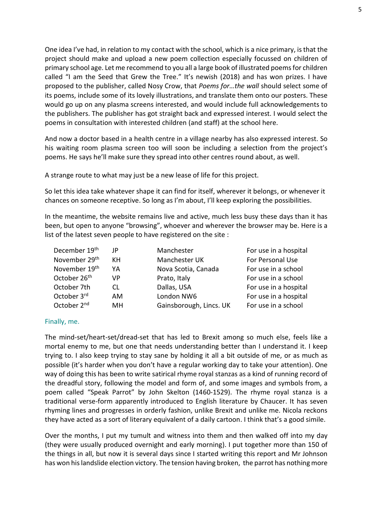One idea I've had, in relation to my contact with the school, which is a nice primary, is that the project should make and upload a new poem collection especially focussed on children of primary school age. Let me recommend to you all a large book of illustrated poems for children called "I am the Seed that Grew the Tree." It's newish (2018) and has won prizes. I have proposed to the publisher, called Nosy Crow, that *Poems for…the wall* should select some of its poems, include some of its lovely illustrations, and translate them onto our posters. These would go up on any plasma screens interested, and would include full acknowledgements to the publishers. The publisher has got straight back and expressed interest. I would select the poems in consultation with interested children (and staff) at the school here.

And now a doctor based in a health centre in a village nearby has also expressed interest. So his waiting room plasma screen too will soon be including a selection from the project's poems. He says he'll make sure they spread into other centres round about, as well.

A strange route to what may just be a new lease of life for this project.

So let this idea take whatever shape it can find for itself, wherever it belongs, or whenever it chances on someone receptive. So long as I'm about, I'll keep exploring the possibilities.

In the meantime, the website remains live and active, much less busy these days than it has been, but open to anyone "browsing", whoever and wherever the browser may be. Here is a list of the latest seven people to have registered on the site :

| December 19th             | JP  | Manchester              | For use in a hospital |
|---------------------------|-----|-------------------------|-----------------------|
| November 29 <sup>th</sup> | КH  | Manchester UK           | For Personal Use      |
| November 19th             | YA  | Nova Scotia, Canada     | For use in a school   |
| October 26 <sup>th</sup>  | VP  | Prato, Italy            | For use in a school   |
| October 7th               | CL  | Dallas, USA             | For use in a hospital |
| October 3rd               | AM. | London NW6              | For use in a hospital |
| October 2 <sup>nd</sup>   | MН  | Gainsborough, Lincs. UK | For use in a school   |

#### Finally, me.

The mind-set/heart-set/dread-set that has led to Brexit among so much else, feels like a mortal enemy to me, but one that needs understanding better than I understand it. I keep trying to. I also keep trying to stay sane by holding it all a bit outside of me, or as much as possible (it's harder when you don't have a regular working day to take your attention). One way of doing this has been to write satirical rhyme royal stanzas as a kind of running record of the dreadful story, following the model and form of, and some images and symbols from, a poem called "Speak Parrot" by John Skelton (1460-1529). The rhyme royal stanza is a traditional verse-form apparently introduced to English literature by Chaucer. It has seven rhyming lines and progresses in orderly fashion, unlike Brexit and unlike me. Nicola reckons they have acted as a sort of literary equivalent of a daily cartoon. I think that's a good simile.

Over the months, I put my tumult and witness into them and then walked off into my day (they were usually produced overnight and early morning). I put together more than 150 of the things in all, but now it is several days since I started writing this report and Mr Johnson has won his landslide election victory. The tension having broken, the parrot has nothing more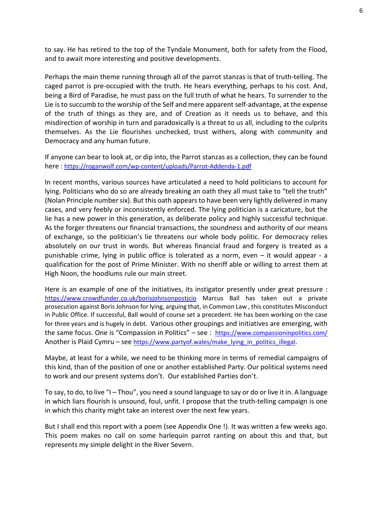to say. He has retired to the top of the Tyndale Monument, both for safety from the Flood, and to await more interesting and positive developments.

Perhaps the main theme running through all of the parrot stanzas is that of truth-telling. The caged parrot is pre-occupied with the truth. He hears everything, perhaps to his cost. And, being a Bird of Paradise, he must pass on the full truth of what he hears. To surrender to the Lie is to succumb to the worship of the Self and mere apparent self-advantage, at the expense of the truth of things as they are, and of Creation as it needs us to behave, and this misdirection of worship in turn and paradoxically is a threat to us all, including to the culprits themselves. As the Lie flourishes unchecked, trust withers, along with community and Democracy and any human future.

If anyone can bear to look at, or dip into, the Parrot stanzas as a collection, they can be found here : <https://roganwolf.com/wp-content/uploads/Parrot-Addenda-1.pdf>

In recent months, various sources have articulated a need to hold politicians to account for lying. Politicians who do so are already breaking an oath they all must take to "tell the truth" (Nolan Principle number six). But this oath appears to have been very lightly delivered in many cases, and very feebly or inconsistently enforced. The lying politician is a caricature, but the lie has a new power in this generation, as deliberate policy and highly successful technique. As the forger threatens our financial transactions, the soundness and authority of our means of exchange, so the politician's lie threatens our whole body politic. For democracy relies absolutely on our trust in words. But whereas financial fraud and forgery is treated as a punishable crime, lying in public office is tolerated as a norm, even – it would appear - a qualification for the post of Prime Minister. With no sheriff able or willing to arrest them at High Noon, the hoodlums rule our main street.

Here is an example of one of the initiatives, its instigator presently under great pressure : <https://www.crowdfunder.co.uk/borisjohnsonpostjcio> Marcus Ball has taken out a private prosecution against Boris Johnson for lying, arguing that, in Common Law , this constitutes Misconduct in Public Office. If successful, Ball would of course set a precedent. He has been working on the case for three years and is hugely in debt. Various other groupings and initiatives are emerging, with the same focus. One is "Compassion in Politics" – see : <https://www.compassioninpolitics.com/> Another is Plaid Cymru – see [https://www.partyof.wales/make\\_lying\\_in\\_politics\\_illegal](https://www.partyof.wales/make_lying_in_politics_illegal).

Maybe, at least for a while, we need to be thinking more in terms of remedial campaigns of this kind, than of the position of one or another established Party. Our political systems need to work and our present systems don't. Our established Parties don't.

To say, to do, to live "I – Thou", you need a sound language to say or do or live it in. A language in which liars flourish is unsound, foul, unfit. I propose that the truth-telling campaign is one in which this charity might take an interest over the next few years.

But I shall end this report with a poem (see Appendix One !). It was written a few weeks ago. This poem makes no call on some harlequin parrot ranting on about this and that, but represents my simple delight in the River Severn.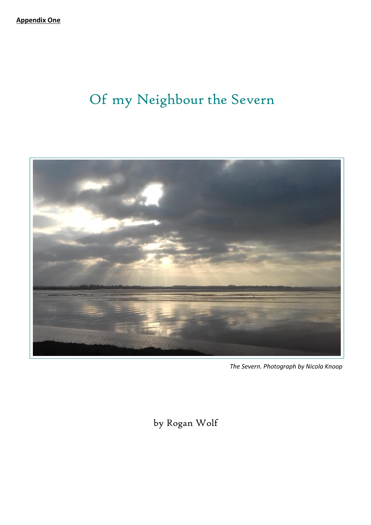# Of my Neighbour the Severn



*The Severn. Photograph by Nicola Knoop*

by Rogan Wolf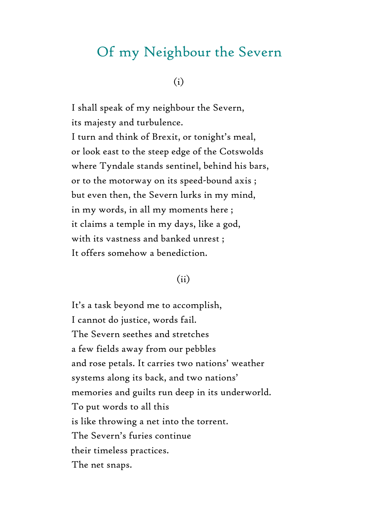## Of my Neighbour the Severn

#### (i)

I shall speak of my neighbour the Severn, its majesty and turbulence. I turn and think of Brexit, or tonight's meal, or look east to the steep edge of the Cotswolds where Tyndale stands sentinel, behind his bars, or to the motorway on its speed-bound axis ; but even then, the Severn lurks in my mind, in my words, in all my moments here ; it claims a temple in my days, like a god, with its vastness and banked unrest ; It offers somehow a benediction.

## (ii)

It's a task beyond me to accomplish, I cannot do justice, words fail. The Severn seethes and stretches a few fields away from our pebbles and rose petals. It carries two nations' weather systems along its back, and two nations' memories and guilts run deep in its underworld. To put words to all this is like throwing a net into the torrent. The Severn's furies continue their timeless practices. The net snaps.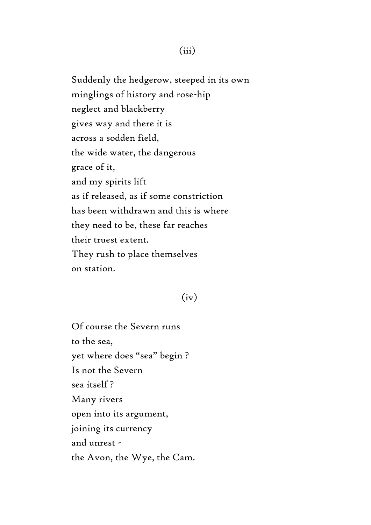Suddenly the hedgerow, steeped in its own minglings of history and rose-hip neglect and blackberry gives way and there it is across a sodden field, the wide water, the dangerous grace of it, and my spirits lift as if released, as if some constriction has been withdrawn and this is where they need to be, these far reaches their truest extent. They rush to place themselves on station.

#### $(iv)$

Of course the Severn runs to the sea, yet where does "sea" begin ? Is not the Severn sea itself ? Many rivers open into its argument, joining its currency and unrest the Avon, the Wye, the Cam.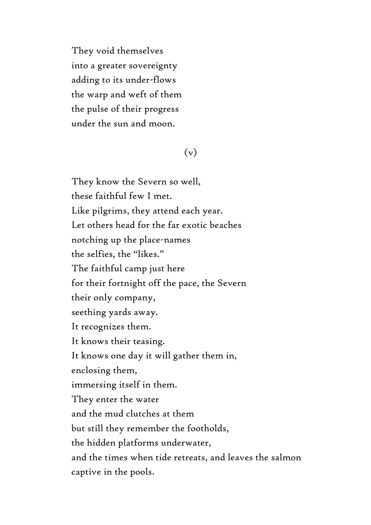They void themselves into a greater sovereignty adding to its under-flows the warp and weft of them the pulse of their progress under the sun and moon.

## (v)

They know the Severn so well, these faithful few I met. Like pilgrims, they attend each year. Let others head for the far exotic beaches notching up the place-names the selfies, the "likes." The faithful camp just here for their fortnight off the pace, the Severn their only company, seething yards away. It recognizes them. It knows their teasing. It knows one day it will gather them in, enclosing them, immersing itself in them. They enter the water and the mud clutches at them but still they remember the footholds, the hidden platforms underwater, and the times when tide retreats, and leaves the salmon captive in the pools.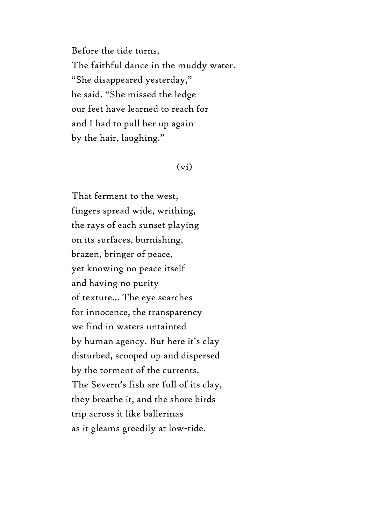Before the tide turns, The faithful dance in the muddy water. "She disappeared yesterday," he said. "She missed the ledge our feet have learned to reach for and I had to pull her up again by the hair, laughing."

#### $(vi)$

That ferment to the west, fingers spread wide, writhing, the rays of each sunset playing on its surfaces, burnishing, brazen, bringer of peace, yet knowing no peace itself and having no purity of texture… The eye searches for innocence, the transparency we find in waters untainted by human agency. But here it's clay disturbed, scooped up and dispersed by the torment of the currents. The Severn's fish are full of its clay, they breathe it, and the shore birds trip across it like ballerinas as it gleams greedily at low-tide.